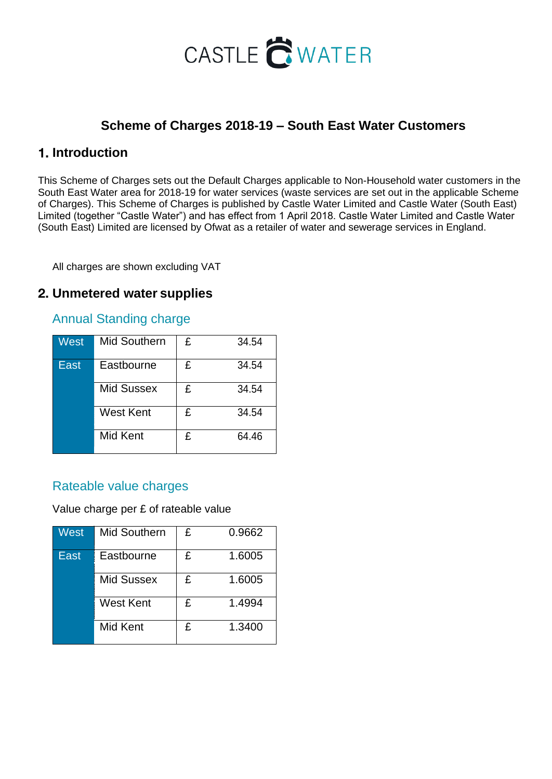# CASTLE CWATER

### **Scheme of Charges 2018-19 – South East Water Customers**

### **Introduction**

This Scheme of Charges sets out the Default Charges applicable to Non-Household water customers in the South East Water area for 2018-19 for water services (waste services are set out in the applicable Scheme of Charges). This Scheme of Charges is published by Castle Water Limited and Castle Water (South East) Limited (together "Castle Water") and has effect from 1 April 2018. Castle Water Limited and Castle Water (South East) Limited are licensed by Ofwat as a retailer of water and sewerage services in England.

All charges are shown excluding VAT

### **Unmetered water supplies**

#### Annual Standing charge

| West | <b>Mid Southern</b> | £ | 34.54 |
|------|---------------------|---|-------|
| East | Eastbourne          | £ | 34.54 |
|      | <b>Mid Sussex</b>   | £ | 34.54 |
|      | <b>West Kent</b>    | £ | 34.54 |
|      | Mid Kent            | £ | 64.46 |

#### Rateable value charges

Value charge per £ of rateable value

| West | <b>Mid Southern</b> | £ | 0.9662 |
|------|---------------------|---|--------|
| East | Eastbourne          | £ | 1.6005 |
|      | <b>Mid Sussex</b>   | £ | 1.6005 |
|      | <b>West Kent</b>    | £ | 1.4994 |
|      | Mid Kent            | £ | 1.3400 |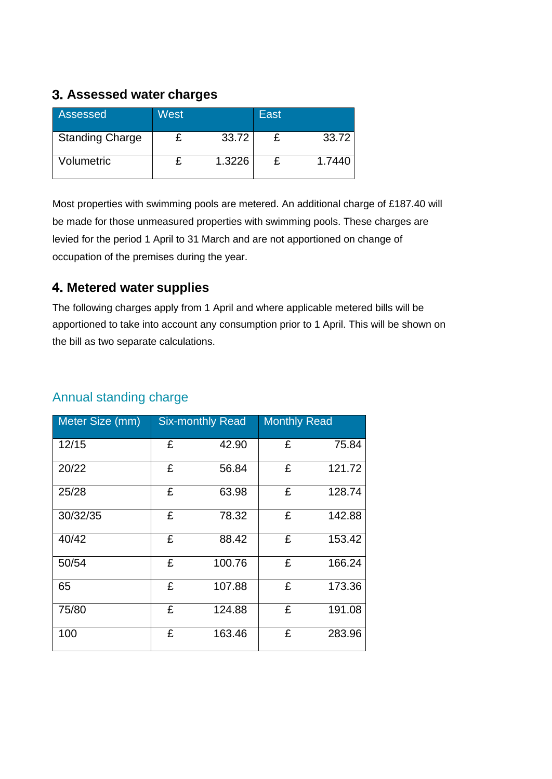### **Assessed water charges**

| Assessed               | West |        | East |        |
|------------------------|------|--------|------|--------|
| <b>Standing Charge</b> |      | 33.72  |      | 33.72  |
| Volumetric             |      | 1.3226 |      | 1.7440 |

Most properties with swimming pools are metered. An additional charge of £187.40 will be made for those unmeasured properties with swimming pools. These charges are levied for the period 1 April to 31 March and are not apportioned on change of occupation of the premises during the year.

### **Metered water supplies**

The following charges apply from 1 April and where applicable metered bills will be apportioned to take into account any consumption prior to 1 April. This will be shown on the bill as two separate calculations.

| Meter Size (mm) |   | <b>Six-monthly Read</b> | <b>Monthly Read</b> |        |
|-----------------|---|-------------------------|---------------------|--------|
| 12/15           | £ | 42.90                   | £                   | 75.84  |
| 20/22           | £ | 56.84                   | £                   | 121.72 |
| 25/28           | £ | 63.98                   | £                   | 128.74 |
| 30/32/35        | £ | 78.32                   | £                   | 142.88 |
| 40/42           | £ | 88.42                   | £                   | 153.42 |
| 50/54           | £ | 100.76                  | £                   | 166.24 |
| 65              | £ | 107.88                  | £                   | 173.36 |
| 75/80           | £ | 124.88                  | £                   | 191.08 |
| 100             | £ | 163.46                  | £                   | 283.96 |

### Annual standing charge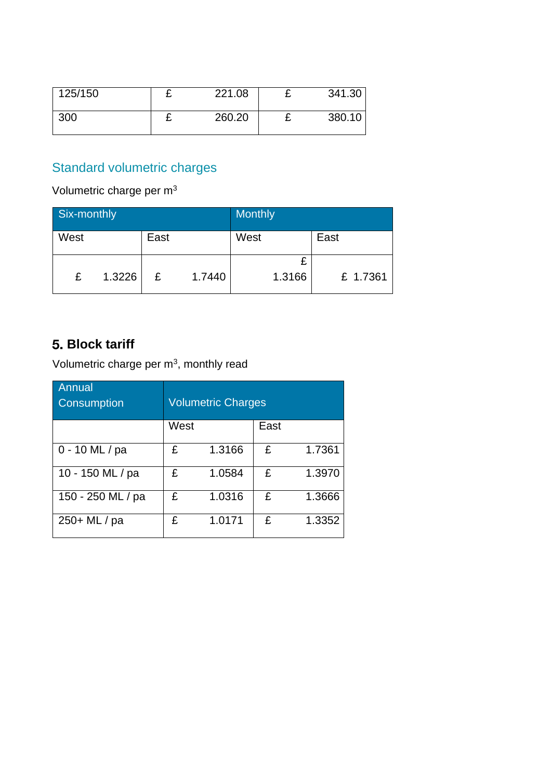| 125/150 | -- | 221.08 |   | 341.30 |
|---------|----|--------|---|--------|
| 300     | -  | 260.20 | - | 380.10 |

### Standard volumetric charges

Volumetric charge per m<sup>3</sup>

| Six-monthly |        |      |        | <b>Monthly</b> |          |
|-------------|--------|------|--------|----------------|----------|
| West        |        | East |        | West           | East     |
| £           | 1.3226 | £    | 1.7440 | 1.3166         | £ 1.7361 |

### **Block tariff**

Volumetric charge per m<sup>3</sup>, monthly read

| Annual<br>Consumption | <b>Volumetric Charges</b> |        |      |        |  |
|-----------------------|---------------------------|--------|------|--------|--|
|                       | West                      |        | East |        |  |
| $0 - 10$ ML / pa      | £                         | 1.3166 | £    | 1.7361 |  |
| 10 - 150 ML / pa      | £                         | 1.0584 | £    | 1.3970 |  |
| 150 - 250 ML / pa     | £                         | 1.0316 | £    | 1.3666 |  |
| 250+ ML / pa          | £                         | 1.0171 | £    | 1.3352 |  |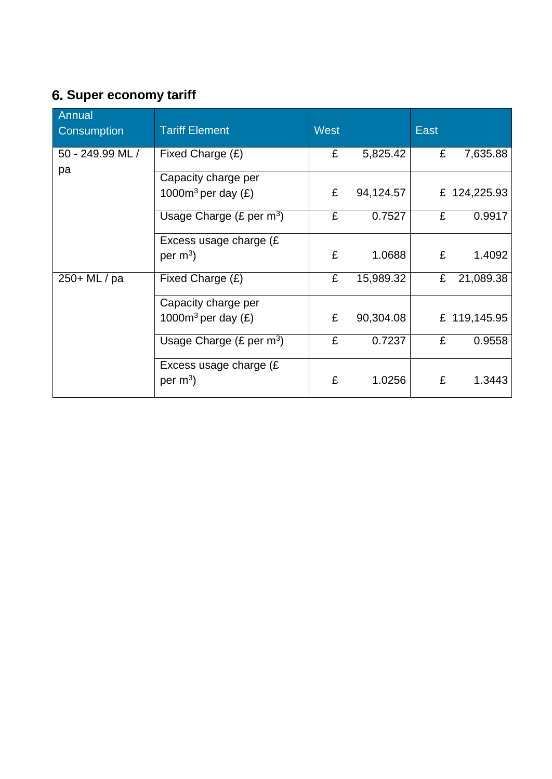# **Super economy tariff**

| Annual<br>Consumption | <b>Tariff Element</b>               | <b>West</b> |           | <b>East</b> |              |
|-----------------------|-------------------------------------|-------------|-----------|-------------|--------------|
| 50 - 249.99 ML /      | Fixed Charge (£)                    | £           | 5,825.42  | £           | 7,635.88     |
| pa                    | Capacity charge per                 |             |           |             |              |
|                       | 1000 $m^3$ per day (£)              | £           | 94,124.57 |             | £ 124,225.93 |
|                       | Usage Charge $(E \text{ per } m^3)$ | £           | 0.7527    | £           | 0.9917       |
|                       | Excess usage charge (£              |             |           |             |              |
|                       | per $m^3$ )                         | £           | 1.0688    | £           | 1.4092       |
| 250+ ML / pa          | Fixed Charge $(E)$                  | £           | 15,989.32 | £           | 21,089.38    |
|                       | Capacity charge per                 |             |           |             |              |
|                       | 1000 $m^3$ per day $(E)$            | £           | 90,304.08 |             | £ 119,145.95 |
|                       | Usage Charge (£ per $m^3$ )         | £           | 0.7237    | £           | 0.9558       |
|                       | Excess usage charge (£              |             |           |             |              |
|                       | per $m^3$ )                         | £           | 1.0256    | £           | 1.3443       |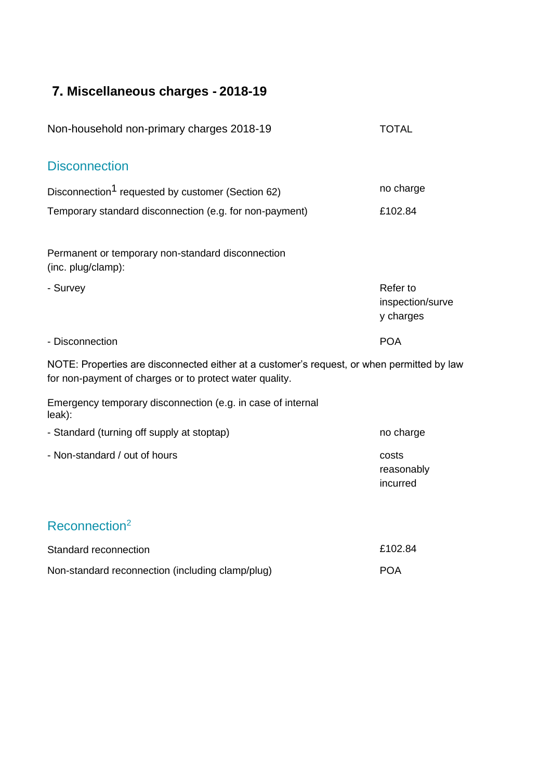# **Miscellaneous charges - 2018-19**

| Non-household non-primary charges 2018-19                                                                                                             | <b>TOTAL</b>                              |
|-------------------------------------------------------------------------------------------------------------------------------------------------------|-------------------------------------------|
| <b>Disconnection</b>                                                                                                                                  |                                           |
| Disconnection <sup>1</sup> requested by customer (Section 62)                                                                                         | no charge                                 |
| Temporary standard disconnection (e.g. for non-payment)                                                                                               | £102.84                                   |
| Permanent or temporary non-standard disconnection<br>(inc. plug/clamp):                                                                               |                                           |
| - Survey                                                                                                                                              | Refer to<br>inspection/surve<br>y charges |
| - Disconnection                                                                                                                                       | <b>POA</b>                                |
| NOTE: Properties are disconnected either at a customer's request, or when permitted by law<br>for non-payment of charges or to protect water quality. |                                           |
| Emergency temporary disconnection (e.g. in case of internal<br>leak):                                                                                 |                                           |
| - Standard (turning off supply at stoptap)                                                                                                            | no charge                                 |
| - Non-standard / out of hours                                                                                                                         | costs<br>reasonably<br>incurred           |
| Reconnection <sup>2</sup>                                                                                                                             |                                           |
| Standard reconnection                                                                                                                                 | £102.84                                   |
| Non-standard reconnection (including clamp/plug)                                                                                                      | <b>POA</b>                                |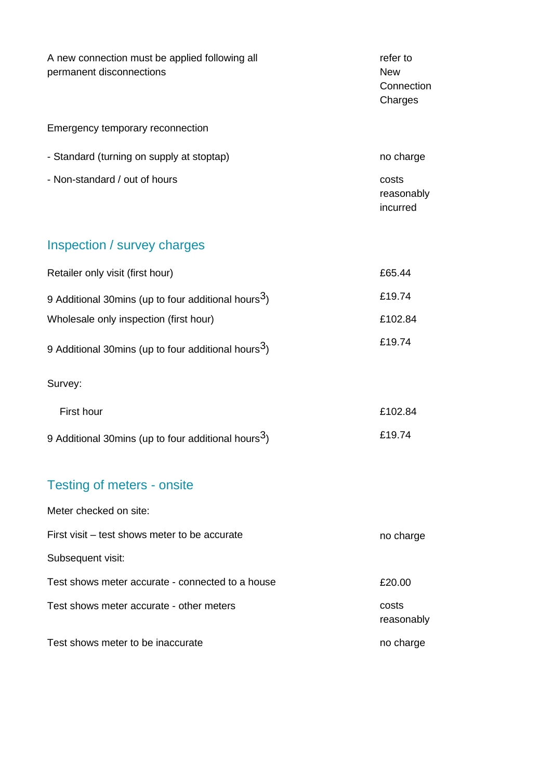| A new connection must be applied following all<br>permanent disconnections | refer to<br><b>New</b><br>Connection<br>Charges |
|----------------------------------------------------------------------------|-------------------------------------------------|
| Emergency temporary reconnection                                           |                                                 |
| - Standard (turning on supply at stoptap)                                  | no charge                                       |
| - Non-standard / out of hours                                              | costs<br>reasonably<br>incurred                 |
| Inspection / survey charges                                                |                                                 |
| Retailer only visit (first hour)                                           | £65.44                                          |
| 9 Additional 30mins (up to four additional hours <sup>3</sup> )            | £19.74                                          |
| Wholesale only inspection (first hour)                                     | £102.84                                         |
| 9 Additional 30mins (up to four additional hours <sup>3</sup> )            | £19.74                                          |
| Survey:                                                                    |                                                 |
| First hour                                                                 | £102.84                                         |
| 9 Additional 30mins (up to four additional hours <sup>3</sup> )            | £19.74                                          |
| <b>Testing of meters - onsite</b>                                          |                                                 |
| Meter checked on site:                                                     |                                                 |
| First visit – test shows meter to be accurate                              | no charge                                       |
| Subsequent visit:                                                          |                                                 |
| Test shows meter accurate - connected to a house                           | £20.00                                          |
| Test shows meter accurate - other meters                                   | costs<br>reasonably                             |
| Test shows meter to be inaccurate                                          | no charge                                       |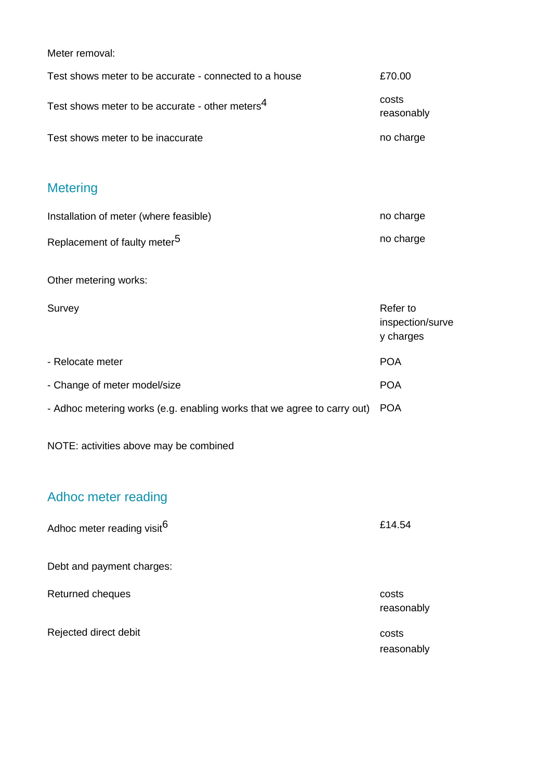Meter removal:

| Test shows meter to be accurate - connected to a house      | £70.00              |
|-------------------------------------------------------------|---------------------|
| Test shows meter to be accurate - other meters <sup>4</sup> | costs<br>reasonably |
| Test shows meter to be inaccurate                           | no charge           |
|                                                             |                     |

### **Metering**

| Installation of meter (where feasible)   | no charge |
|------------------------------------------|-----------|
| Replacement of faulty meter <sup>5</sup> | no charge |

Other metering works:

Survey Refer to inspection/surve y charges - Relocate meter POA - Change of meter model/size **POA** - Adhoc metering works (e.g. enabling works that we agree to carry out) POA

NOTE: activities above may be combined

### Adhoc meter reading

| Adhoc meter reading visit <sup>6</sup> | £14.54              |
|----------------------------------------|---------------------|
| Debt and payment charges:              |                     |
| Returned cheques                       | costs<br>reasonably |
| Rejected direct debit                  | costs<br>reasonably |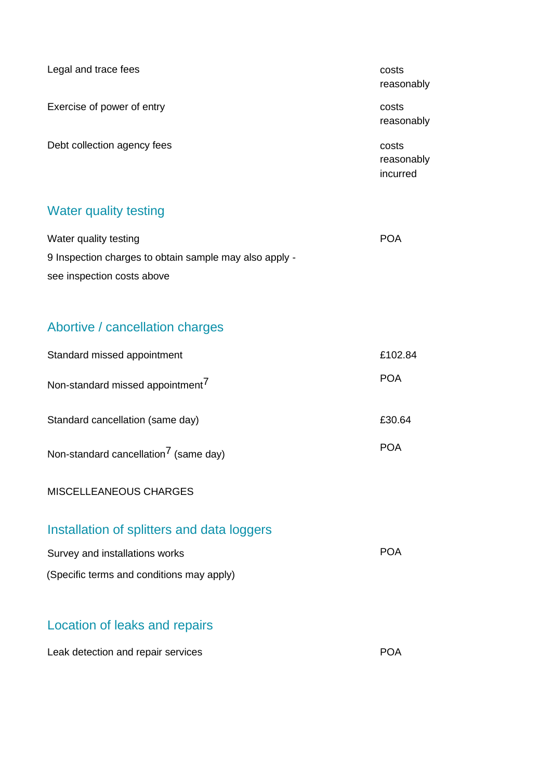| Legal and trace fees        | costs<br>reasonably             |
|-----------------------------|---------------------------------|
| Exercise of power of entry  | costs<br>reasonably             |
| Debt collection agency fees | costs<br>reasonably<br>incurred |

### Water quality testing

| Water quality testing                                  | <b>POA</b> |
|--------------------------------------------------------|------------|
| 9 Inspection charges to obtain sample may also apply - |            |
| see inspection costs above                             |            |

# Abortive / cancellation charges

| Standard missed appointment                       | £102.84    |
|---------------------------------------------------|------------|
| Non-standard missed appointment <sup>7</sup>      | <b>POA</b> |
| Standard cancellation (same day)                  | £30.64     |
| Non-standard cancellation <sup>7</sup> (same day) | <b>POA</b> |
| MISCELLEANEOUS CHARGES                            |            |
| Installation of splitters and data loggers        |            |

| Survey and installations works            | <b>POA</b> |
|-------------------------------------------|------------|
| (Specific terms and conditions may apply) |            |

# Location of leaks and repairs

| Leak detection and repair services | <b>POA</b> |
|------------------------------------|------------|
|------------------------------------|------------|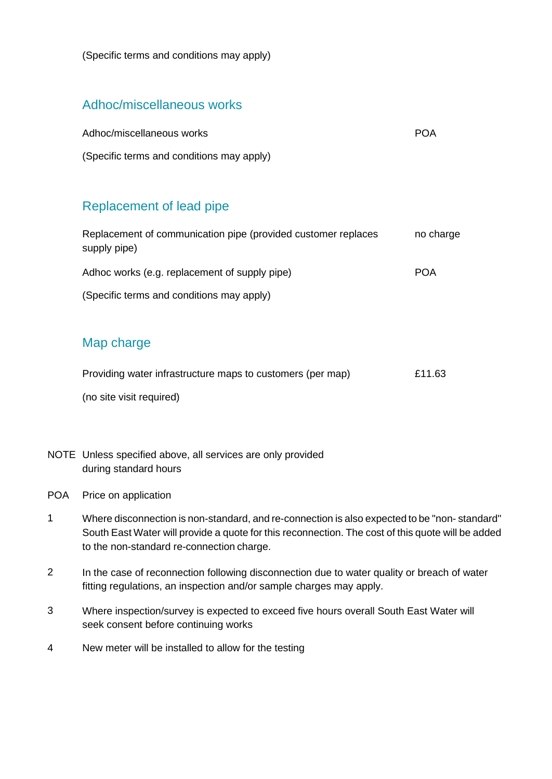(Specific terms and conditions may apply)

### Adhoc/miscellaneous works

| Adhoc/miscellaneous works                 | POA |
|-------------------------------------------|-----|
| (Specific terms and conditions may apply) |     |

### Replacement of lead pipe

| Replacement of communication pipe (provided customer replaces<br>supply pipe) | no charge  |
|-------------------------------------------------------------------------------|------------|
| Adhoc works (e.g. replacement of supply pipe)                                 | <b>POA</b> |
| (Specific terms and conditions may apply)                                     |            |
|                                                                               |            |

#### Map charge

| Providing water infrastructure maps to customers (per map) | £11.63 |
|------------------------------------------------------------|--------|
| (no site visit required)                                   |        |

- NOTE Unless specified above, all services are only provided during standard hours
- POA Price on application
- 1 Where disconnection is non-standard, and re-connection is also expected to be "non- standard" South East Water will provide a quote for this reconnection. The cost of this quote will be added to the non-standard re-connection charge.
- 2 In the case of reconnection following disconnection due to water quality or breach of water fitting regulations, an inspection and/or sample charges may apply.
- 3 Where inspection/survey is expected to exceed five hours overall South East Water will seek consent before continuing works
- 4 New meter will be installed to allow for the testing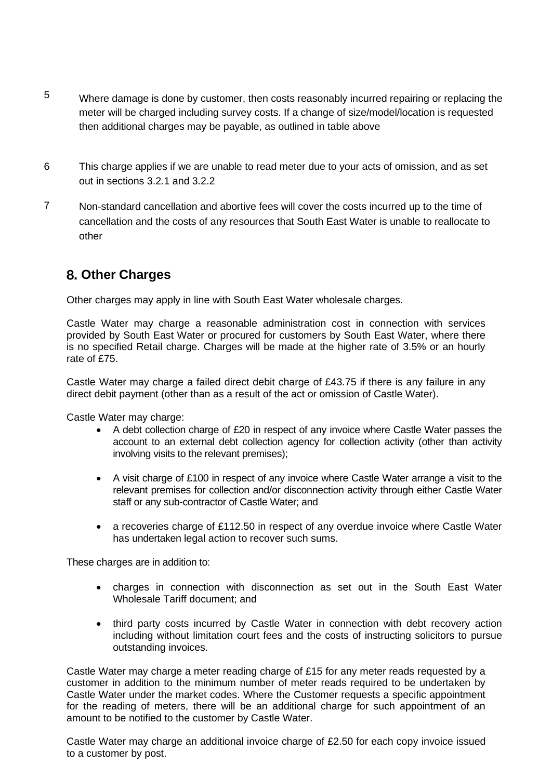- 5 Where damage is done by customer, then costs reasonably incurred repairing or replacing the meter will be charged including survey costs. If a change of size/model/location is requested then additional charges may be payable, as outlined in table above
- 6 This charge applies if we are unable to read meter due to your acts of omission, and as set out in sections 3.2.1 and 3.2.2
- 7 Non-standard cancellation and abortive fees will cover the costs incurred up to the time of cancellation and the costs of any resources that South East Water is unable to reallocate to other

### **Other Charges**

Other charges may apply in line with South East Water wholesale charges.

Castle Water may charge a reasonable administration cost in connection with services provided by South East Water or procured for customers by South East Water, where there is no specified Retail charge. Charges will be made at the higher rate of 3.5% or an hourly rate of £75.

Castle Water may charge a failed direct debit charge of £43.75 if there is any failure in any direct debit payment (other than as a result of the act or omission of Castle Water).

Castle Water may charge:

- A debt collection charge of £20 in respect of any invoice where Castle Water passes the account to an external debt collection agency for collection activity (other than activity involving visits to the relevant premises);
- A visit charge of £100 in respect of any invoice where Castle Water arrange a visit to the relevant premises for collection and/or disconnection activity through either Castle Water staff or any sub-contractor of Castle Water; and
- a recoveries charge of £112.50 in respect of any overdue invoice where Castle Water has undertaken legal action to recover such sums.

These charges are in addition to:

- charges in connection with disconnection as set out in the South East Water Wholesale Tariff document; and
- third party costs incurred by Castle Water in connection with debt recovery action including without limitation court fees and the costs of instructing solicitors to pursue outstanding invoices.

Castle Water may charge a meter reading charge of £15 for any meter reads requested by a customer in addition to the minimum number of meter reads required to be undertaken by Castle Water under the market codes. Where the Customer requests a specific appointment for the reading of meters, there will be an additional charge for such appointment of an amount to be notified to the customer by Castle Water.

Castle Water may charge an additional invoice charge of £2.50 for each copy invoice issued to a customer by post.